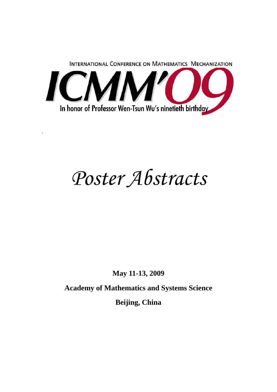

.

# *Poster Abstracts*

**May 11-13, 2009** 

**Academy of Mathematics and Systems Science** 

**Beijing, China**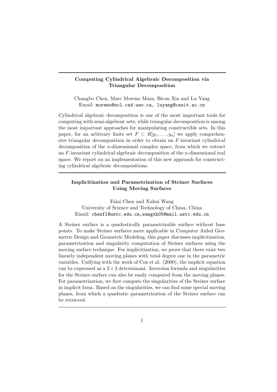## Computing Cylindrical Algebraic Decomposition via Triangular Decomposition

Changbo Chen, Marc Moreno Maza, Bican Xia and Lu Yang Email: moreno@scl.csd.uwo.ca, luyang@casit.ac.cn

Cylindrical algebraic decomposition is one of the most important tools for computing with semi-algebraic sets, while triangular decomposition is among the most important approaches for manipulating constructible sets. In this paper, for an arbitrary finite set  $F \subset R[y_1, \ldots, y_n]$  we apply comprehensive triangular decomposition in order to obtain an F-invariant cylindrical decomposition of the n-dimensional complex space, from which we extract an  $F$ -invariant cylindrical algebraic decomposition of the  $n$ -dimensional real space. We report on an implementation of this new approach for constructing cylindrical algebraic decompositions.

## Implicitization and Parametrization of Steiner Surfaces Using Moving Surfaces

Falai Chen and Xuhui Wang University of Science and Technology of China, China Email: chenfl@ustc.edu.cn,wangxh05@mail.ustc.edu.cn

A Steiner surface is a quadratically parametrizable surface without base points. To make Steiner surfaces more applicable in Computer Aided Geometric Design and Geometric Modeling, this paper discusses implicitization, parametrization and singularity computation of Steiner surfaces using the moving surface technique. For implicitization, we prove that there exist two linearly independent moving planes with total degree one in the parametric variables. Unifying with the work of Cox et al. (2000), the implicit equation can be expressed as a  $3 \times 3$  determinant. Inversion formula and singularities for the Steiner surface can also be easily computed from the moving planes. For parametrization, we first compute the singularities of the Steiner surface in implicit form. Based on the singularities, we can find some special moving planes, from which a quadratic parametrization of the Steiner surface can be retrieved.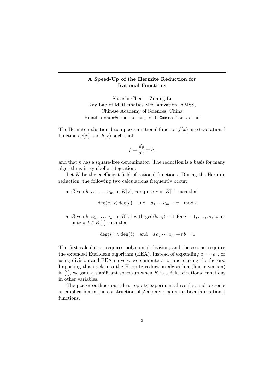## A Speed-Up of the Hermite Reduction for Rational Functions

Shaoshi Chen Ziming Li Key Lab of Mathematics Mechanization, AMSS, Chinese Academy of Sciences, China Email: schen@amss.ac.cn, zmli@mmrc.iss.ac.cn

The Hermite reduction decomposes a rational function  $f(x)$  into two rational functions  $q(x)$  and  $h(x)$  such that

$$
f = \frac{dg}{dx} + h,
$$

and that  $h$  has a square-free denominator. The reduction is a basis for many algorithms in symbolic integration.

Let  $K$  be the coefficient field of rational functions. During the Hermite reduction, the following two calculations frequently occur:

• Given  $b, a_1, \ldots, a_m$  in  $K[x]$ , compute r in  $K[x]$  such that

 $deg(r) < deg(b)$  and  $a_1 \cdots a_m \equiv r \mod b$ .

• Given  $b, a_1, \ldots, a_m$  in  $K[x]$  with  $gcd(b, a_i) = 1$  for  $i = 1, \ldots, m$ , compute  $s, t \in K[x]$  such that

$$
deg(s) < deg(b)
$$
 and  $sa_1 \cdots a_m + tb = 1$ .

The first calculation requires polynomial division, and the second requires the extended Euclidean algorithm (EEA). Instead of expanding  $a_1 \cdots a_m$  or using division and EEA naively, we compute  $r$ ,  $s$ , and  $t$  using the factors. Importing this trick into the Hermite reduction algorithm (linear version) in  $[1]$ , we gain a significant speed-up when K is a field of rational functions in other variables.

The poster outlines our idea, reports experimental results, and presents an application in the construction of Zeilberger pairs for bivariate rational functions.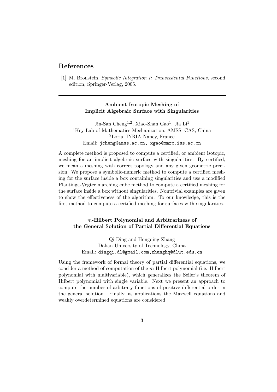# References

[1] M. Bronstein. Symbolic Integration I: Transcedental Functions, second edition, Springer-Verlag, 2005.

## Ambient Isotopic Meshing of Implicit Algebraic Surface with Singularities

Jin-San Cheng<sup>1,2</sup>, Xiao-Shan Gao<sup>1</sup>, Jia Li<sup>1</sup> <sup>1</sup>Key Lab of Mathematics Mechanization, AMSS, CAS, China <sup>2</sup>Loria, INRIA Nancy, France Email: jcheng@amss.ac.cn, xgao@mmrc.iss.ac.cn

A complete method is proposed to compute a certified, or ambient isotopic, meshing for an implicit algebraic surface with singularities. By certified, we mean a meshing with correct topology and any given geometric precision. We propose a symbolic-numeric method to compute a certified meshing for the surface inside a box containing singularities and use a modified Plantinga-Vegter marching cube method to compute a certified meshing for the surface inside a box without singularities. Nontrivial examples are given to show the effectiveness of the algorithm. To our knowledge, this is the first method to compute a certified meshing for surfaces with singularities.

m-Hilbert Polynomial and Arbitrariness of the General Solution of Partial Differential Equations

Qi Ding and Hongqing Zhang Dalian University of Technology, China Email: dingqi.dl@gmail.com,zhanghq@dlut.edu.cn

Using the framework of formal theory of partial differential equations, we consider a method of computation of the m-Hilbert polynomial (i.e. Hilbert polynomial with multivariable), which generalizes the Seiler's theorem of Hilbert polynomial with single variable. Next we present an approach to compute the number of arbitrary functions of positive differential order in the general solution. Finally, as applications the Maxwell equations and weakly overdetermined equations are considered.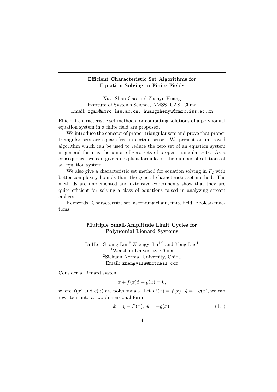## Efficient Characteristic Set Algorithms for Equation Solving in Finite Fields

Xiao-Shan Gao and Zhenyu Huang Institute of Systems Science, AMSS, CAS, China Email: xgao@mmrc.iss.ac.cn, huangzhenyu@mmrc.iss.ac.cn

Efficient characteristic set methods for computing solutions of a polynomial equation system in a finite field are proposed.

We introduce the concept of proper triangular sets and prove that proper triangular sets are square-free in certain sense. We present an improved algorithm which can be used to reduce the zero set of an equation system in general form as the union of zero sets of proper triangular sets. As a consequence, we can give an explicit formula for the number of solutions of an equation system.

We also give a characteristic set method for equation solving in  $F_2$  with better complexity bounds than the general characteristic set method. The methods are implemented and extensive experiments show that they are quite efficient for solving a class of equations raised in analyzing stream ciphers.

Keywords: Characteristic set, ascending chain, finite field, Boolean functions.

## Multiple Small-Amplitude Limit Cycles for Polynomial Lienard Systems

Bi He<sup>1</sup>, Suqing Lin<sup>2</sup> Zhengyi Lu<sup>1,2</sup> and Yong Luo<sup>1</sup> <sup>1</sup>Wenzhou University, China <sup>2</sup>Sichuan Normal University, China Email: zhengyilu@hotmail.com

Consider a Liénard system

$$
\ddot{x} + f(x)\dot{x} + g(x) = 0,
$$

where  $f(x)$  and  $g(x)$  are polynomials. Let  $F'(x) = f(x)$ ,  $\dot{y} = -g(x)$ , we can rewrite it into a two-dimensional form

$$
\dot{x} = y - F(x), \ \dot{y} = -g(x). \tag{1.1}
$$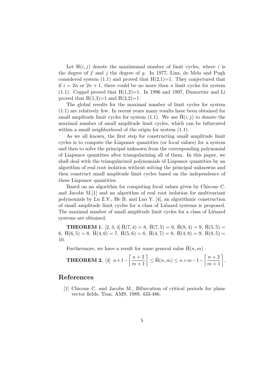Let  $H(i, j)$  denote the maximumal number of limit cycles, where i is the degree of  $f$  and  $j$  the degree of  $g$ . In 1977, Lins, de Melo and Pugh considered system  $(1.1)$  and proved that  $H(2,1)=1$ . They conjectured that if  $i = 2n$  or  $2n + 1$ , there could be no more than n limit cycles for system  $(1.1)$ . Coppel proved that  $H(1,2)=1$ . In 1996 and 1997, Dumortier and Li proved that  $H(1,3)=1$  and  $H(2,2)=1$ .

The global results for the maximal number of limit cycles for system (1.1) are relatively few. In recent years many results have been obtained for small amplitude limit cycles for system (1.1). We use  $\hat{H}(i, j)$  to denote the maximal number of small amplitude limit cycles, which can be bifurcated within a small neighborhood of the origin for system (1.1).

As we all known, the first step for constructing small amplitude limit cycles is to compute the Liapunov quantities (or focal values) for a system and then to solve the principal unknown from the corresponding polynomial of Liapunov quantities after triangularizing all of them. In this paper, we shall deal with the triangularized polynomials of Liapunov quantities by an algorithm of real root isolation without solving the principal unknowns and then construct small amplitude limit cycles based on the independence of these Liapunov quantities.

Based on an algorithm for computing focal values given by Chicone C. and Jacobs M.[1] and an algorithm of real root isolation for multivariant polynomials by Lu Z.Y., He B. and Luo Y. [4], an algorithmic construction of small amplitude limit cycles for a class of Liénard systems is proposed. The maximal number of small amplitude limit cycles for a class of Liénard systems are obtained.

**THEOREM 1.** [2, 3, 4]  $\hat{H}(7, 4) = 8$ ,  $\hat{H}(7, 5) = 9$ ,  $\hat{H}(8, 4) = 9$ ,  $\hat{H}(5, 5) =$ 6,  $\hat{H}(6,5) = 8$ ,  $\hat{H}(4,6) = 7$ ,  $\hat{H}(5,6) = 8$ ,  $\hat{H}(4,7) = 8$ ,  $\hat{H}(4,8) = 9$ ,  $\hat{H}(8,5) =$ 10.

Furthermore, we have a result for some general value  $\hat{H}(n, m)$ .

**THEOREM 2.** [4] 
$$
n+1-\left[\frac{n+2}{m+1}\right] \leq \hat{H}(n,m) \leq n+m-1-\left[\frac{n+2}{m+1}\right].
$$

# References

[1] Chicone C. and Jacobs M., Bifurcation of critical periods for plane vector fields, Tran. AMS, 1989, 433-486.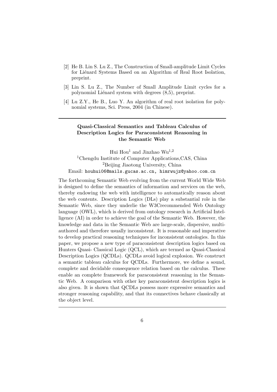- [2] He B. Lin S. Lu Z., The Construction of Small-amplitude Limit Cycles for Liénard Systems Based on an Algorithm of Real Root Isolation, preprint.
- [3] Lin S. Lu Z., The Number of Small Amplitude Limit cycles for a polynomial Liénard system with degrees  $(8,5)$ , preprint.
- [4] Lu Z.Y., He B., Luo Y. An algorithm of real root isolation for polynomial systems, Sci. Press, 2004 (in Chinese).

## Quasi-Classical Semantics and Tableau Calculus of Description Logics for Paraconsistent Reasoning in the Semantic Web

Hui Hou<sup>1</sup> and Jinzhao Wu<sup>1,2</sup> <sup>1</sup>Chengdu Institute of Computer Applications,CAS, China <sup>2</sup>Beijing Jiaotong University, China Email: houhui06@mails.gucas.ac.cn, himrwujz@yahoo.com.cn

The forthcoming Semantic Web evolving from the current World Wide Web is designed to define the semantics of information and services on the web, thereby endowing the web with intelligence to automatically reason about the web contents. Description Logics (DLs) play a substantial role in the Semantic Web, since they underlie the W3Crecommended Web Ontology language (OWL), which is derived from ontology research in Artificial Intelligence (AI) in order to achieve the goal of the Semantic Web. However, the knowledge and data in the Semantic Web are large-scale, dispersive, multiauthored and therefore usually inconsistent. It is reasonable and imperative to develop practical reasoning techniques for inconsistent ontologies. In this paper, we propose a new type of paraconsistent description logics based on Hunters Quasi- Classical Logic (QCL), which are termed as Quasi-Classical Description Logics (QCDLs). QCDLs avoid logical explosion. We construct a semantic tableau calculus for QCDLs. Furthermore, we define a sound, complete and decidable consequence relation based on the calculus. These enable an complete framework for paraconsistent reasoning in the Semantic Web. A comparison with other key paraconsistent description logics is also given. It is shown that QCDLs possess more expressive semantics and stronger reasoning capability, and that its connectives behave classically at the object level.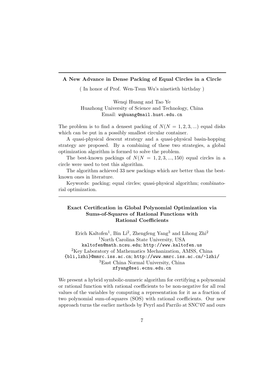#### A New Advance in Dense Packing of Equal Circles in a Circle

( In honor of Prof. Wen-Tsun Wu's ninetieth birthday )

Wenqi Huang and Tao Ye Huazhong University of Science and Technology, China Email: wqhuang@mail.hust.edu.cn

The problem is to find a densest packing of  $N(N = 1, 2, 3, ...)$  equal disks which can be put in a possibly smallest circular container.

A quasi-physical descent strategy and a quasi-physical basin-hopping strategy are proposed. By a combining of these two strategies, a global optimization algorithm is formed to solve the problem.

The best-known packings of  $N(N = 1, 2, 3, ..., 150)$  equal circles in a circle were used to test this algorithm.

The algorithm achieved 33 new packings which are better than the bestknown ones in literature.

Keywords: packing; equal circles; quasi-physical algorithm; combinatorial optimization.

## Exact Certification in Global Polynomial Optimization via Sums-of-Squares of Rational Functions with Rational Coefficients

Erich Kaltofen<sup>1</sup>, Bin Li<sup>2</sup>, Zhengfeng Yang<sup>3</sup> and Lihong Zhi<sup>2</sup> <sup>1</sup>North Carolina State University, USA kaltofen@math.ncsu.edu; http://www.kaltofen.us <sup>2</sup>Key Laboratory of Mathematics Mechanization, AMSS, China {bli,lzhi}@mmrc.iss.ac.cn; http://www.mmrc.iss.ac.cn/~lzhi/ <sup>3</sup>East China Normal University, China zfyang@sei.ecnu.edu.cn

We present a hybrid symbolic-numeric algorithm for certifying a polynomial or rational function with rational coefficients to be non-negative for all real values of the variables by computing a representation for it as a fraction of two polynomial sum-of-squares (SOS) with rational coefficients. Our new approach turns the earlier methods by Peyrl and Parrilo at SNC'07 and ours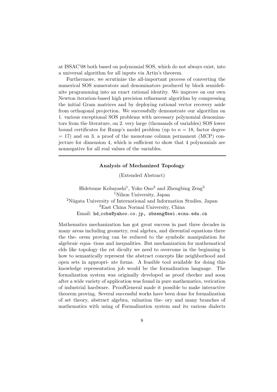at ISSAC'08 both based on polynomial SOS, which do not always exist, into a universal algorithm for all inputs via Artin's theorem.

Furthermore, we scrutinize the all-important process of converting the numerical SOS numerators and denominators produced by block semidefinite programming into an exact rational identity. We improve on our own Newton iteration-based high precision refinement algorithm by compressing the initial Gram matrices and by deploying rational vector recovery aside from orthogonal projection. We successfully demonstrate our algorithm on 1. various exceptional SOS problems with necessary polynomial denominators from the literature, on 2. very large (thousands of variables) SOS lower bound certificates for Rump's model problem (up to  $n = 18$ , factor degree  $= 17$ ) and on 3. a proof of the monotone column permanent (MCP) conjecture for dimension 4, which is sufficient to show that 4 polynomials are nonnegative for all real values of the variables.

## Analysis of Mechanized Topology

(Extended Abstract)

Hidetsune Kobayashi<sup>1</sup>, Yoko Ono<sup>2</sup> and Zhengbing Zeng<sup>3</sup> <sup>1</sup>Nihon University, Japan <sup>2</sup>Niigata University of International and Information Studies, Japan <sup>3</sup>East China Normal University, China Email: hd coba@yahoo.co.jp, zbzeng@sei.ecnu.edu.cn

Mathematics mechanization has got great success in past three decades in many areas including geometry, real algebra, and dierential equations there the the- orem proving can be reduced to the symbolic manipulation for algebraic equa- tions and inequalities. But mechanization for mathematical elds like topology the rst diculty we need to overcome in the beginning is how to semantically represent the abstract concepts like neighborhood and open sets in appropri- ate forms. A feasible tool available for doing this knowledge representation job would be the formalization language. The formalization system was originally developed as proof checker and soon after a wide variety of application was found in pure mathematics, verication of industrial hardware. ProofGeneral made it possible to make interactive theorem proving. Several successful works have been done for formalization of set theory, abstract algebra, valuation the- ory and many branches of mathematics with using of Formalization system and its various dialects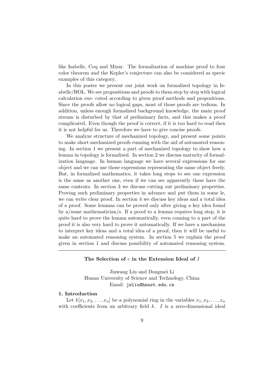like Isabelle, Coq and Mizar. The formalization of machine proof to four color theorem and the Kepler's conjecture can also be considered as specic examples of this category.

In this poster we present our joint work on formalized topology in Isabelle/HOL. We see propositions and proofs to them step by step with logical calculation exe- cuted according to given proof methods and propositions. Since the proofs allow no logical gaps, most of those proofs are tedious. In addition, unless enough formalized background knowledge, the main proof stream is disturbed by that of preliminary facts, and this makes a proof complicated. Even though the proof is correct, if it is too hard to read then it is not helpful for us. Therefore we have to give concise proofs.

We analyze structure of mechanized topology, and present some points to make short mechanized proofs running with the aid of automated reasoning. In section 1 we present a part of mechanized topology to show how a lemma in topology is formalized. In section 2 we discuss maturity of formalization language. In human language we have several expressions for one object and we can use those expressions representing the same object freely. But, in formalized mathematics, it takes long steps to see one expression is the same as another one, even if we can see apparently these have the same contents. In section 3 we discuss cutting out preliminary properties. Proving such preliminary properties in advance and put them in some le, we can write clear proof. In section 4 we discuss key ideas and a total idea of a proof. Some lemmas can be proved only after giving a key idea found by a/some mathematician/s. If a proof to a lemma requires long step, it is quite hard to prove the lemma automatically, even conning to a part of the proof it is also very hard to prove it automatically. If we have a mechanism to interpret key ideas and a total idea of a proof, then it will be useful to make an automated reasoning system. In section 5 we explain the proof given in section 1 and discuss possibility of automated reasoning system.

#### The Selection of  $c$  in the Extension Ideal of  $I$

Jinwang Liu and Dongmei Li Hunan University of Science and Technology, China Email: jwliu@hnust.edu.cn

#### 1. Introduction

Let  $k[x_1, x_2, \ldots, x_n]$  be a polynomial ring in the variables  $x_1, x_2, \ldots, x_n$ with coefficients from an arbitrary field  $k$ .  $I$  is a zero-dimensional ideal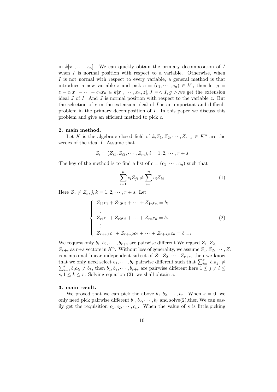in  $k[x_1, \dots, x_n]$ . We can quickly obtain the primary decomposition of I when  $I$  is normal position with respect to a variable. Otherwise, when I is not normal with respect to every variable, a general method is that introduce a new variable z and pick  $c = (c_1, \dots, c_n) \in k^n$ , then let  $g =$  $z - c_1x_1 - \cdots - c_nx_n \in k[x_1, \cdots, x_n, z], J = < I, g >$ , we get the extension ideal  $J$  of  $I$ . And  $J$  is normal position with respect to the variable  $z$ . But the selection of  $c$  in the extension ideal of  $I$  is an important and difficult problem in the primary decomposition of I. In this paper we discuss this problem and give an efficient method to pick c.

#### 2. main method.

Let K is the algebraic closed field of  $k, Z_1, Z_2, \cdots, Z_{r+s} \in K^n$  are the zeroes of the ideal I. Assume that

$$
Z_i = (Z_{i1}, Z_{i2}, \cdots, Z_{in}), i = 1, 2, \cdots, r + s
$$

The key of the method is to find a list of  $c = (c_1, \dots, c_n)$  such that

$$
\sum_{i=1}^{n} c_i Z_{ji} \neq \sum_{i=1}^{n} c_i Z_{ki}
$$
 (1)

Here  $Z_i \neq Z_k, j, k = 1, 2, \dots, r + s$ . Let

$$
\begin{cases}\nZ_{11}c_1 + Z_{12}c_2 + \dots + Z_{1n}c_n = b_1 \\
\vdots \\
Z_{r1}c_1 + Z_{r2}c_2 + \dots + Z_{rn}c_n = b_r \\
\vdots \\
Z_{r+s,1}c_1 + Z_{r+s,2}c_2 + \dots + Z_{r+s,n}c_n = b_{r+s}\n\end{cases}
$$
\n(2)

We request only  $b_1, b_2, \dots, b_{r+s}$  are pairwise different. We regard  $Z_1, Z_2, \dots$ ,  $Z_{r+s}$  as  $r+s$  vectors in  $K^n$ . Without loss of generality, we assume  $Z_1, Z_2, \cdots, Z_r$ is a maximal linear independent subset of  $Z_1, Z_2, \cdots, Z_{r+s}$ , then we know that we only need select  $b_1, \dots, b_r$  pairwise different such that  $\sum_{i=1}^r b_i a_{ji} \neq \sum_{i=1}^r b_i a_{ji}$  $x_{i=1}^r b_i a_{li} \neq b_k$ , then  $b_1, b_2, \cdots, b_{r+s}$  are pairwise different, here  $1 \leq j \neq l \leq s$  $s, 1 \leq k \leq r$ . Solving equation (2), we shall obtain c.

#### 3. main result.

We proved that we can pick the above  $b_1, b_2, \dots, b_r$ . When  $s = 0$ , we only need pick pairwise different  $b_1, b_2, \cdots, b_r$  and solve(2), then We can easily get the requisition  $c_1, c_2, \dots, c_n$ . When the value of s is little, picking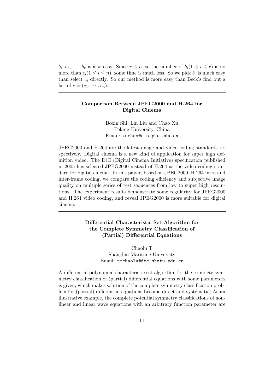$b_1, b_2, \dots, b_r$  is also easy. Since  $r \leq n$ , so the number of  $b_i(1 \leq i \leq r)$  is no more than  $c_i(1 \leq i \leq n)$ , some time is much less. So we pick  $b_i$  is much easy than select  $c_i$  directly. So our method is more easy than Beck's find out a list of  $\underline{c} = (c_1, \cdots, c_n)$ .

## Comparison Between JPEG2000 and H.264 for Digital Cinema

Boxin Shi, Lin Liu and Chao Xu Peking University, China Email: xuchao@cis.pku.edu.cn

JPEG2000 and H.264 are the latest image and video coding standards respectively. Digital cinema is a new kind of application for super high definition video. The DCI (Digital Cinema Initiative) specification published in 2005 has selected JPEG2000 instead of H.264 as the video coding standard for digital cinema. In this paper, based on JPEG2000, H.264 intra and inter-frame coding, we compare the coding efficiency and subjective image quality on multiple series of test sequences from low to super high resolutions. The experiment results demonstrate some regularity for JPEG2000 and H.264 video coding, and reveal JPEG2000 is more suitable for digital cinema.

> Differential Characteristic Set Algorithm for the Complete Symmetry Classification of (Partial) Differential Equations

> > Chaolu T Shanghai Maritime University Email: tmchaolu@dbc.shmtu.edu.cn

A differential polynomial characteristic set algorithm for the complete symmetry classification of (partial) differential equations with some parameters is given, which makes solution of the complete symmetry classification problem for (partial) differential equations become direct and systematic; As an illustrative example, the complete potential symmetry classifications of nonlinear and linear wave equations with an arbitrary function parameter are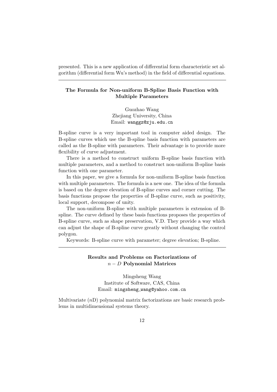presented. This is a new application of differential form characteristic set algorithm (differential form Wu's method) in the field of differential equations.

## The Formula for Non-uniform B-Spline Basis Function with Multiple Parameters

Guozhao Wang Zhejiang University, China Email: wanggz@zju.edu.cn

B-spline curve is a very important tool in computer aided design. The B-spline curves which use the B-spline basis function with parameters are called as the B-spline with parameters. Their advantage is to provide more flexibility of curve adjustment.

There is a method to construct uniform B-spline basis function with multiple parameters, and a method to construct non-uniform B-spline basis function with one parameter.

In this paper, we give a formula for non-uniform B-spline basis function with multiple parameters. The formula is a new one. The idea of the formula is based on the degree elevation of B-spline curves and corner cutting. The basis functions propose the properties of B-spline curve, such as positivity, local support, decompose of unity.

The non-uniform B-spline with multiple parameters is extension of Bspline. The curve defined by these basis functions proposes the properties of B-spline curve, such as shape preservation, V.D. They provide a way which can adjust the shape of B-spline curve greatly without changing the control polygon.

Keywords: B-spline curve with parameter; degree elevation; B-spline.

## Results and Problems on Factorizations of  $n - D$  Polynomial Matrices

Mingsheng Wang Institute of Software, CAS, China Email: mingsheng wang@yahoo.com.cn

Multivariate  $(nD)$  polynomial matrix factorizations are basic research problems in multidimensional systems theory.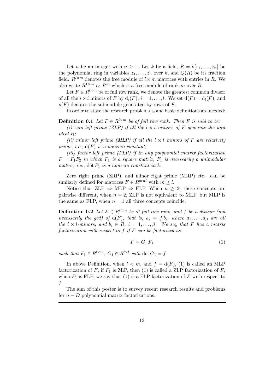Let *n* be an integer with  $n \geq 1$ . Let *k* be a field,  $R = k[z_1, \ldots, z_n]$  be the polynomial ring in variables  $z_1, \ldots, z_n$  over k, and  $Q(R)$  be its fraction field.  $R^{l \times m}$  denotes the free module of  $l \times m$  matrices with entries in R. We also write  $R^{1 \times m}$  as  $R^m$  which is a free module of rank m over R.

Let  $F \in R^{l \times m}$  be of full row rank, we denote the greatest common divisor of all the  $i \times i$  minors of F by  $d_i(F)$ ,  $i = 1, \ldots, l$ . We set  $d(F) = d_i(F)$ , and  $\rho(F)$  denotes the submodule generated by rows of F.

In order to state the research problems, some basic definitions are needed:

**Definition 0.1** Let  $F \in R^{l \times m}$  be of full row rank. Then F is said to be:

(i) zero left prime (ZLP) if all the  $l \times l$  minors of F generate the unit ideal R;

(ii) minor left prime (MLP) if all the  $l \times l$  minors of F are relatively prime, i.e.,  $d(F)$  is a nonzero constant;

(iii) factor left prime (FLP) if in any polynomial matrix factorization  $F = F_1F_2$  in which  $F_1$  is a square matrix,  $F_1$  is necessarily a unimodular matrix, i.e.,  $\det F_1$  is a nonzero constant in k.

Zero right prime (ZRP), and minor right prime (MRP) etc. can be similarly defined for matrices  $F \in R^{m \times l}$  with  $m \geq l$ .

Notice that  $\text{ZLP} \Rightarrow \text{MLP} \Rightarrow \text{FLP}$ . When  $n \geq 3$ , these concepts are pairwise different, when  $n = 2$ , ZLP is not equivalent to MLP, but MLP is the same as FLP, when  $n = 1$  all three concepts coincide.

**Definition 0.2** Let  $F \in R^{l \times m}$  be of full row rank, and f be a divisor (not necessarily the gcd) of  $d(F)$ , that is,  $a_i = f b_i$ , where  $a_1, \ldots, a_\beta$  are all the  $l \times l$ -minors, and  $b_i \in R$ ,  $i = 1, ..., \beta$ . We say that F has a matrix factorization with respect to  $f$  if  $F$  can be factorized as

$$
F = G_1 F_1 \tag{1}
$$

such that  $F_1 \in R^{l \times m}$ ,  $G_1 \in R^{l \times l}$  with  $\det G_1 = f$ .

In above Definition, when  $l < m$ , and  $f = d(F)$ , (1) is called an MLP factorization of F; if  $F_1$  is ZLP, then (1) is called a ZLP factorization of F; when  $F_1$  is FLP, we say that (1) is a FLP factorization of F with respect to f.

The aim of this poster is to survey recent research results and problems for  $n - D$  polynomial matrix factorizations.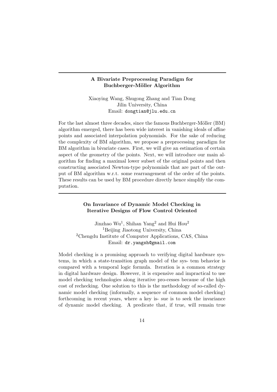## A Bivariate Preprocessing Paradigm for Buchberger-Möller Algorithm

Xiaoying Wang, Shugong Zhang and Tian Dong Jilin University, China Email: dongtian@jlu.edu.cn

For the last almost three decades, since the famous Buchberger-Möller (BM) algorithm emerged, there has been wide interest in vanishing ideals of affine points and associated interpolation polynomials. For the sake of reducing the complexity of BM algorithm, we propose a preprocessing paradigm for BM algorithm in bivariate cases. First, we will give an estimation of certain aspect of the geometry of the points. Next, we will introduce our main algorithm for finding a maximal lower subset of the original points and then constructing associated Newton-type polynomials that are part of the output of BM algorithm w.r.t. some rearrangement of the order of the points. These results can be used by BM procedure directly hence simplify the computation.

## On Invariance of Dynamic Model Checking in Iterative Designs of Flow Control Oriented

Jinzhao Wu<sup>1</sup>, Shihan Yang<sup>2</sup> and Hui Hou<sup>2</sup> <sup>1</sup>Beijing Jiaotong University, China <sup>2</sup>Chengdu Institute of Computer Applications, CAS, China Email: dr.yangsh@gmail.com

Model checking is a promising approach to verifying digital hardware systems, in which a state-transition graph model of the sys- tem behavior is compared with a temporal logic formula. Iteration is a common strategy in digital hardware design. However, it is expensive and impractical to use model checking technologies along iterative pro-cesses because of the high cost of rechecking. One solution to this is the methodology of so-called dynamic model checking (informally, a sequence of common model checking) forthcoming in recent years, where a key is- sue is to seek the invariance of dynamic model checking. A predicate that, if true, will remain true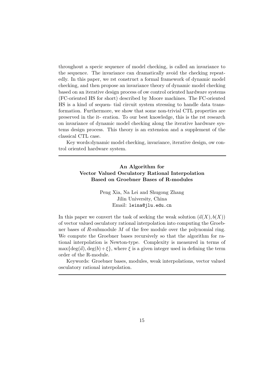throughout a specic sequence of model checking, is called an invariance to the sequence. The invariance can dramatically avoid the checking repeatedly. In this paper, we rst construct a formal framework of dynamic model checking, and then propose an invariance theory of dynamic model checking based on an iterative design process of ow control oriented hardware systems (FC-oriented HS for short) described by Moore machines. The FC-oriented HS is a kind of sequen- tial circuit system stressing to handle data transformation. Furthermore, we show that some non-trivial CTL properties are preserved in the it- eration. To our best knowledge, this is the rst research on invariance of dynamic model checking along the iterative hardware systems design process. This theory is an extension and a supplement of the classical CTL case.

Key words:dynamic model checking, invariance, iterative design, ow control oriented hardware system.

## An Algorithm for Vector Valued Osculatory Rational Interpolation Based on Groebner Bases of R-modules

Peng Xia, Na Lei and Shugong Zhang Jilin University, China Email: leina@jlu.edu.cn

In this paper we convert the task of seeking the weak solution  $(\vec{a}(X), b(X))$ of vector valued osculatory rational interpolation into computing the Groebner bases of  $R$ -submodule  $M$  of the free module over the polynomial ring. We compute the Groebner bases recursively so that the algorithm for rational interpolation is Newton-type. Complexity is measured in terms of  $\max\{\deg(\vec{a}), \deg(b)+\xi\},$  where  $\xi$  is a given integer used in defining the term order of the R-module.

Keywords: Groebner bases, modules, weak interpolations, vector valued osculatory rational interpolation.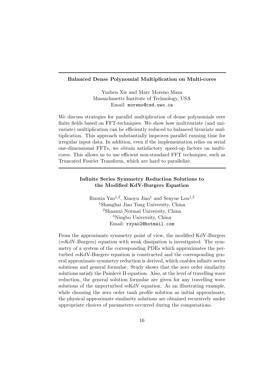#### Balanced Dense Polynomial Multiplication on Multi-cores

Yuzhen Xie and Marc Moreno Maza Massachusetts Institute of Technology, USA Email: moreno@csd.uwo.ca

We discuss strategies for parallel multiplication of dense polynomials over finite fields based on FFT-techniques. We show how multivariate (and univariate) multiplication can be efficiently reduced to balanced bivariate multiplication. This approach substantially improves parallel running time for irregular input data. In addition, even if the implementation relies on serial one-dimensional FFTs, we obtain satisfactory speed-up factors on multicores. This allows us to use efficient non-standard FFT techniques, such as Truncated Fourier Transform, which are hard to parallelize.

## Infinite Series Symmetry Reduction Solutions to the Modified KdV-Burgers Equation

Ruoxia Yao<sup>1,2</sup>, Xiaoyu Jiao<sup>1</sup> and Senyue Lou<sup>1,3</sup> <sup>1</sup>Shanghai Jiao Tong University, China <sup>2</sup>Shaanxi Normal University, China <sup>3</sup>Ningbo University, China Email: rxyao2@hotmail.com

From the approximate symmetry point of view, the modified KdV-Burgers (mKdV-Burgers) equation with weak dissipation is investigated. The symmetry of a system of the corresponding PDEs which approximates the perturbed mKdV-Burgers equation is constructed and the corresponding general approximate symmetry reduction is derived, which enables infinite series solutions and general formulae. Study shows that the zero order similarity solutions satisfy the Painlevè II equation. Also, at the level of travelling wave reduction, the general solution formulae are given for any travelling wave solutions of the unperturbed  $m\text{KdV}$  equation. As an illustrating example, while choosing the zero order tanh profile solution as initial approximate, the physical approximate similarity solutions are obtained recursively under appropriate choices of parameters occurred during the computations.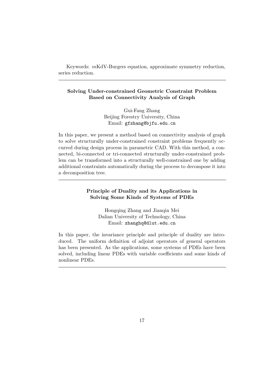Keywords: mKdV-Burgers equation, approximate symmetry reduction, series reduction.

## Solving Under-constrained Geometric Constraint Problem Based on Connectivity Analysis of Graph

Gui-Fang Zhang Beijing Forestry University, China Email: gfzhang@bjfu.edu.cn

In this paper, we present a method based on connectivity analysis of graph to solve structurally under-constrained constraint problems frequently occurred during design process in parametric CAD. With this method, a connected, bi-connected or tri-connected structurally under-constrained problem can be transformed into a structurally well-constrained one by adding additional constraints automatically during the process to decompose it into a decomposition tree.

## Principle of Duality and its Applications in Solving Some Kinds of Systems of PDEs

Hongqing Zhang and Jianqin Mei Dalian University of Technology, China Email: zhanghq@dlut.edu.cn

In this paper, the invariance principle and principle of duality are introduced. The uniform definition of adjoint operators of general operators has been presented. As the applications, some systems of PDEs have been solved, including linear PDEs with variable coefficients and some kinds of nonlinear PDEs.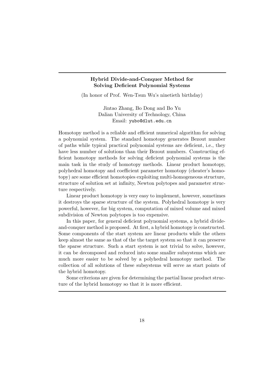## Hybrid Divide-and-Conquer Method for Solving Deficient Polynomial Systems

(In honor of Prof. Wen-Tsun Wu's ninetieth birthday)

Jintao Zhang, Bo Dong and Bo Yu Dalian University of Technology, China Email: yubo@dlut.edu.cn

Homotopy method is a reliable and efficient numerical algorithm for solving a polynomial system. The standard homotopy generates Bezout number of paths while typical practical polynomial systems are deficient, i.e., they have less number of solutions than their Bezout numbers. Constructing efficient homotopy methods for solving deficient polynomial systems is the main task in the study of homotopy methods. Linear product homotopy, polyhedral homotopy and coefficient parameter homotopy (cheater's homotopy) are some efficient homotopies exploiting multi-homogeneous structure, structure of solution set at infinity, Newton polytopes and parameter structure respectively.

Linear product homotopy is very easy to implement, however, sometimes it destroys the sparse structure of the system. Polyhedral homotopy is very powerful, however, for big system, computation of mixed volume and mixed subdivision of Newton polytopes is too expensive.

In this paper, for general deficient polynomial systems, a hybrid divideand-conquer method is proposed. At first, a hybrid homotopy is constructed. Some components of the start system are linear products while the others keep almost the same as that of the the target system so that it can preserve the sparse structure. Such a start system is not trivial to solve, however, it can be decomposed and reduced into some smaller subsystems which are much more easier to be solved by a polyhedral homotopy method. The collection of all solutions of these subsystems will serve as start points of the hybrid homotopy.

Some criterions are given for determining the partial linear product structure of the hybrid homotopy so that it is more efficient.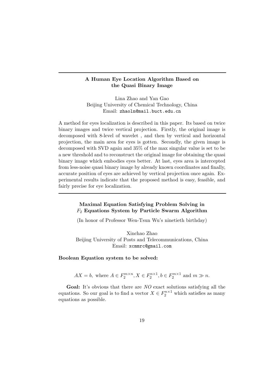## A Human Eye Location Algorithm Based on the Quasi Binary Image

Lina Zhao and Yan Gao Beijing University of Chemical Technology, China Email: zhaoln@mail.buct.edu.cn

A method for eyes localization is described in this paper. Its based on twice binary images and twice vertical projection. Firstly, the original image is decomposed with 8-level of wavelet , and then by vertical and horizontal projection, the main area for eyes is gotten. Secondly, the given image is decomposed with SVD again and 35% of the max singular value is set to be a new threshold and to reconstruct the original image for obtaining the quasi binary image which embodies eyes better. At last, eyes area is intercepted from less-noise quasi binary image by already known coordinates and finally, accurate position of eyes are achieved by vertical projection once again. Experimental results indicate that the proposed method is easy, feasible, and fairly precise for eye localization.

## Maximal Equation Satisfying Problem Solving in  $F_2$  Equations System by Particle Swarm Algorithm

(In honor of Professor Wen-Tsun Wu's ninetieth birthday)

Xinchao Zhao Beijing University of Posts and Telecommunications, China Email: xcmmrc@gmail.com

Boolean Equation system to be solved:

 $AX = b$ , where  $A \in F_2^{m \times n}$ ,  $X \in F_2^{n \times 1}$ ,  $b \in F_2^{m \times 1}$  and  $m \gg n$ .

Goal: It's obvious that there are NO exact solutions satisfying all the equations. So our goal is to find a vector  $X \in F_2^{n \times 1}$  which satisfies as many equations as possible.